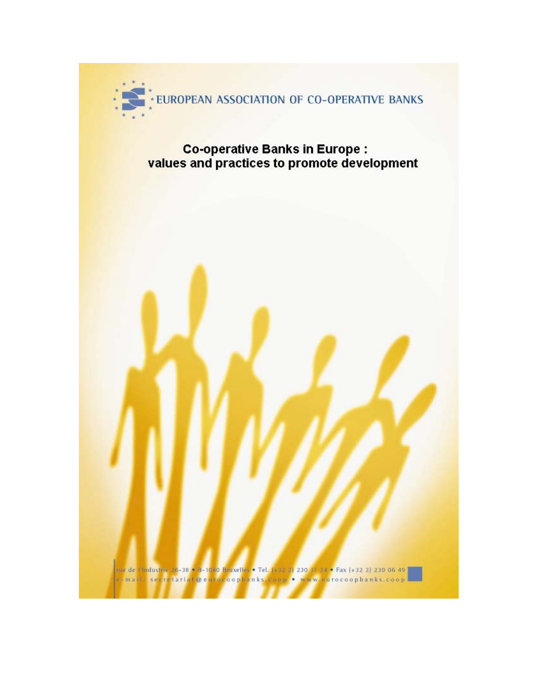

# Co-operative Banks in Europe :<br>values and practices to promote development

nue de |!Industrie 26-38 × 8-1640 Bruxelles = Tel, [+32-2] 230-11-24 × Fax [+32-2] 230-06-49 |<br>v - ma | ! | ses re tariat @ eurocoophan ks. coop = = www.eurocoophan ks. coop |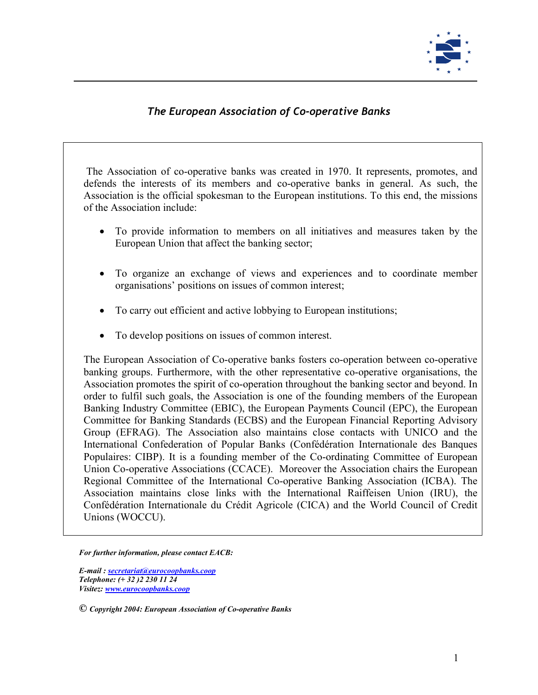

### *The European Association of Co-operative Banks*

The Association of co-operative banks was created in 1970. It represents, promotes, and defends the interests of its members and co-operative banks in general. As such, the Association is the official spokesman to the European institutions. To this end, the missions of the Association include:

- To provide information to members on all initiatives and measures taken by the European Union that affect the banking sector;
- To organize an exchange of views and experiences and to coordinate member organisations' positions on issues of common interest;
- To carry out efficient and active lobbying to European institutions;
- To develop positions on issues of common interest.

The European Association of Co-operative banks fosters co-operation between co-operative banking groups. Furthermore, with the other representative co-operative organisations, the Association promotes the spirit of co-operation throughout the banking sector and beyond. In order to fulfil such goals, the Association is one of the founding members of the European Banking Industry Committee (EBIC), the European Payments Council (EPC), the European Committee for Banking Standards (ECBS) and the European Financial Reporting Advisory Group (EFRAG). The Association also maintains close contacts with UNICO and the International Confederation of Popular Banks (Confédération Internationale des Banques Populaires: CIBP). It is a founding member of the Co-ordinating Committee of European Union Co-operative Associations (CCACE). Moreover the Association chairs the European Regional Committee of the International Co-operative Banking Association (ICBA). The Association maintains close links with the International Raiffeisen Union (IRU), the Confédération Internationale du Crédit Agricole (CICA) and the World Council of Credit Unions (WOCCU).

*For further information, please contact EACB:* 

*E-mail : [secretariat@eurocoopbanks.coop](mailto:secretariat@eurocoopbanks.coop) Telephone: (+ 32 )2 230 11 24 Visitez: [www.eurocoopbanks.coop](http://www.eurocoopbanks.coop/)*

*© Copyright 2004: European Association of Co-operative Banks*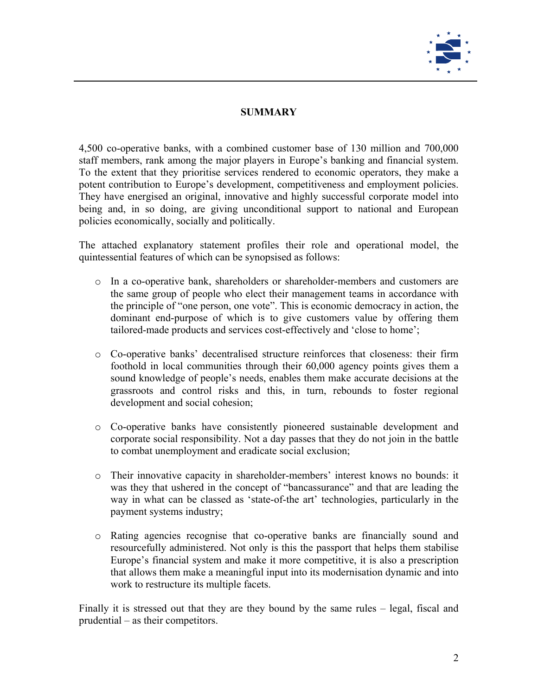

#### **SUMMARY**

4,500 co-operative banks, with a combined customer base of 130 million and 700,000 staff members, rank among the major players in Europe's banking and financial system. To the extent that they prioritise services rendered to economic operators, they make a potent contribution to Europe's development, competitiveness and employment policies. They have energised an original, innovative and highly successful corporate model into being and, in so doing, are giving unconditional support to national and European policies economically, socially and politically.

The attached explanatory statement profiles their role and operational model, the quintessential features of which can be synopsised as follows:

- o In a co-operative bank, shareholders or shareholder-members and customers are the same group of people who elect their management teams in accordance with the principle of "one person, one vote". This is economic democracy in action, the dominant end-purpose of which is to give customers value by offering them tailored-made products and services cost-effectively and 'close to home';
- o Co-operative banks' decentralised structure reinforces that closeness: their firm foothold in local communities through their 60,000 agency points gives them a sound knowledge of people's needs, enables them make accurate decisions at the grassroots and control risks and this, in turn, rebounds to foster regional development and social cohesion;
- o Co-operative banks have consistently pioneered sustainable development and corporate social responsibility. Not a day passes that they do not join in the battle to combat unemployment and eradicate social exclusion;
- o Their innovative capacity in shareholder-members' interest knows no bounds: it was they that ushered in the concept of "bancassurance" and that are leading the way in what can be classed as 'state-of-the art' technologies, particularly in the payment systems industry;
- o Rating agencies recognise that co-operative banks are financially sound and resourcefully administered. Not only is this the passport that helps them stabilise Europe's financial system and make it more competitive, it is also a prescription that allows them make a meaningful input into its modernisation dynamic and into work to restructure its multiple facets.

Finally it is stressed out that they are they bound by the same rules – legal, fiscal and prudential – as their competitors.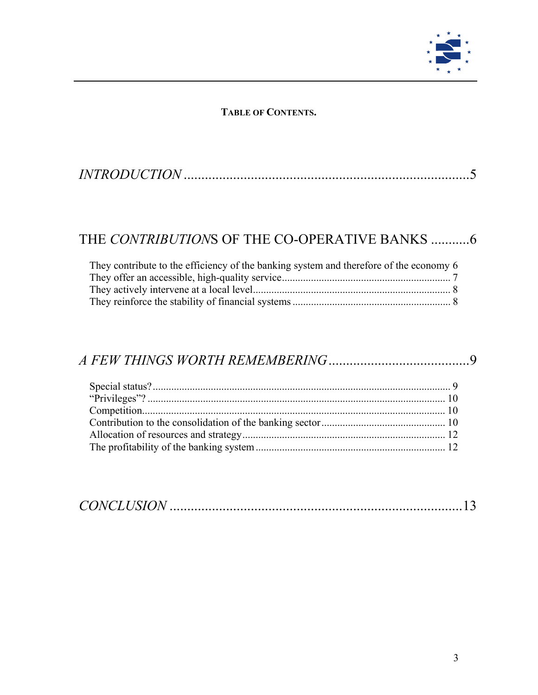

#### **TABLE OF CONTENTS.**

### THE *CONTRIBUTION*[S OF THE CO-OPERATIVE BANKS](#page-6-0) ...........6

| They contribute to the efficiency of the banking system and therefore of the economy 6 |  |
|----------------------------------------------------------------------------------------|--|
|                                                                                        |  |
|                                                                                        |  |
|                                                                                        |  |

## *[A FEW THINGS WORTH REMEMBERING](#page-9-0)*........................................9

|--|--|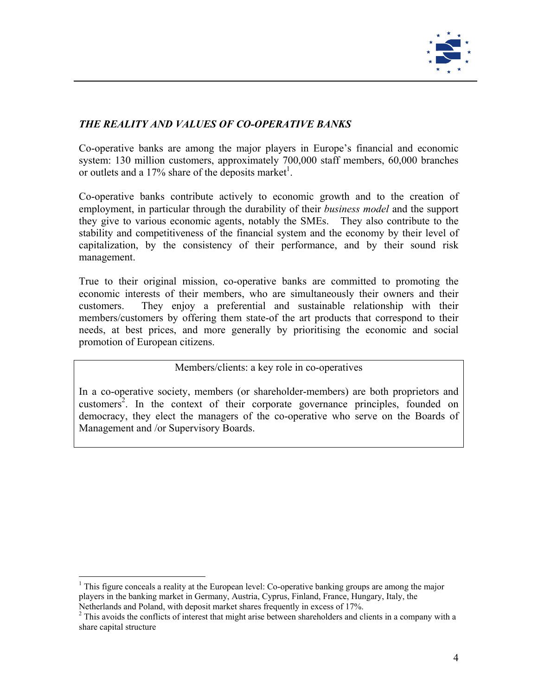

#### *THE REALITY AND VALUES OF CO-OPERATIVE BANKS*

Co-operative banks are among the major players in Europe's financial and economic system: 130 million customers, approximately 700,000 staff members, 60,000 branches or outlets and a 17% share of the deposits market<sup>1</sup>.

Co-operative banks contribute actively to economic growth and to the creation of employment, in particular through the durability of their *business model* and the support they give to various economic agents, notably the SMEs. They also contribute to the stability and competitiveness of the financial system and the economy by their level of capitalization, by the consistency of their performance, and by their sound risk management.

True to their original mission, co-operative banks are committed to promoting the economic interests of their members, who are simultaneously their owners and their customers. They enjoy a preferential and sustainable relationship with their members/customers by offering them state-of the art products that correspond to their needs, at best prices, and more generally by prioritising the economic and social promotion of European citizens.

#### Members/clients: a key role in co-operatives

In a co-operative society, members (or shareholder-members) are both proprietors and customers<sup>[2](#page-4-1)</sup>. In the context of their corporate governance principles, founded on democracy, they elect the managers of the co-operative who serve on the Boards of Management and /or Supervisory Boards.

<span id="page-4-0"></span><sup>&</sup>lt;sup>1</sup> This figure conceals a reality at the European level: Co-operative banking groups are among the major players in the banking market in Germany, Austria, Cyprus, Finland, France, Hungary, Italy, the Netherlands and Poland, with deposit market shares frequently in excess of 17%. 2

<span id="page-4-1"></span><sup>&</sup>lt;sup>2</sup> This avoids the conflicts of interest that might arise between shareholders and clients in a company with a share capital structure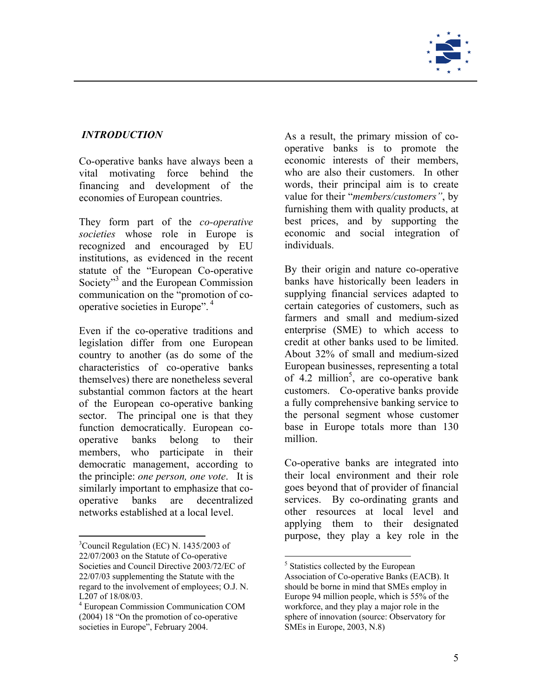

Co-operative banks have always been a vital motivating force behind the financing and development of the economies of European countries.

They form part of the *co-operative societies* whose role in Europe is recognized and encouraged by EU institutions, as evidenced in the recent statute of the "European Co-operative Society"<sup>3</sup> and the European Commission communication on the "promotion of cooperative societies in Europe". [4](#page-5-2)

Even if the co-operative traditions and legislation differ from one European country to another (as do some of the characteristics of co-operative banks themselves) there are nonetheless several substantial common factors at the heart of the European co-operative banking sector. The principal one is that they function democratically. European cooperative banks belong to their members, who participate in their democratic management, according to the principle: *one person, one vote*. It is similarly important to emphasize that cooperative banks are decentralized networks established at a local level.

 $\overline{a}$ 

<span id="page-5-0"></span>*INTRODUCTION* As a result, the primary mission of cooperative banks is to promote the economic interests of their members, who are also their customers. In other words, their principal aim is to create value for their "*members/customers"*, by furnishing them with quality products, at best prices, and by supporting the economic and social integration of individuals.

> By their origin and nature co-operative banks have historically been leaders in supplying financial services adapted to certain categories of customers, such as farmers and small and medium-sized enterprise (SME) to which access to credit at other banks used to be limited. About 32% of small and medium-sized European businesses, representing a total of  $4.2$  million<sup>5</sup>, are co-operative bank customers. Co-operative banks provide a fully comprehensive banking service to the personal segment whose customer base in Europe totals more than 130 million.

> Co-operative banks are integrated into their local environment and their role goes beyond that of provider of financial services. By co-ordinating grants and other resources at local level and applying them to their designated purpose, they play a key role in the

<span id="page-5-1"></span> ${}^{3}$ Council Regulation (EC) N. 1435/2003 of 22/07/2003 on the Statute of Co-operative Societies and Council Directive 2003/72/EC of 22/07/03 supplementing the Statute with the regard to the involvement of employees; O.J. N. L207 of 18/08/03.

<span id="page-5-2"></span><sup>4</sup> European Commission Communication COM (2004) 18 "On the promotion of co-operative societies in Europe", February 2004.

 $\overline{a}$ <sup>5</sup> Statistics collected by the European

<span id="page-5-3"></span>Association of Co-operative Banks (EACB). It should be borne in mind that SMEs employ in Europe 94 million people, which is 55% of the workforce, and they play a major role in the sphere of innovation (source: Observatory for SMEs in Europe, 2003, N.8)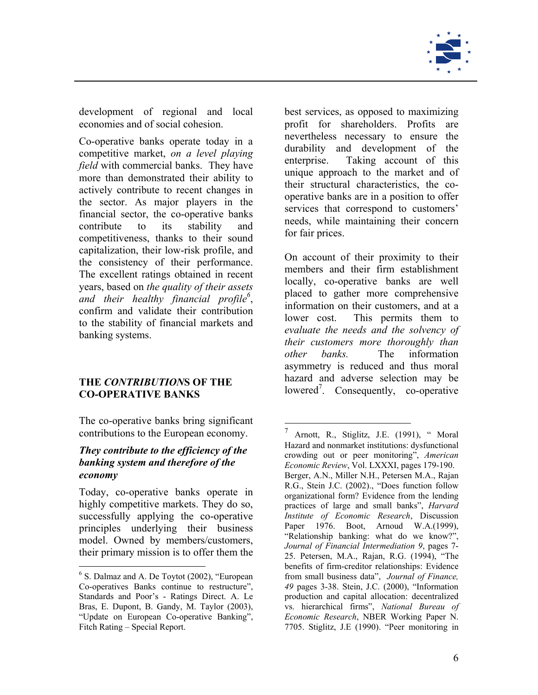

<span id="page-6-2"></span><span id="page-6-0"></span>development of regional and local economies and of social cohesion.

Co-operative banks operate today in a competitive market, *on a level playing field* with commercial banks. They have more than demonstrated their ability to actively contribute to recent changes in the sector. As major players in the financial sector, the co-operative banks contribute to its stability and competitiveness, thanks to their sound capitalization, their low-risk profile, and the consistency of their performance. The excellent ratings obtained in recent years, based on *the quality of their assets and their healthy financial profil[e6](#page-6-1)* , confirm and validate their contribution to the stability of financial markets and banking systems.

#### **THE** *CONTRIBUTION***S OF THE CO-OPERATIVE BANKS**

The co-operative banks bring significant contributions to the European economy.

#### *They contribute to the efficiency of the banking system and therefore of the economy*

Today, co-operative banks operate in highly competitive markets. They do so, successfully applying the co-operative principles underlying their business model. Owned by members/customers, their primary mission is to offer them the

 $\overline{a}$ 

best services, as opposed to maximizing profit for shareholders. Profits are nevertheless necessary to ensure the durability and development of the enterprise. Taking account of this unique approach to the market and of their structural characteristics, the cooperative banks are in a position to offer services that correspond to customers' needs, while maintaining their concern for fair prices.

On account of their proximity to their members and their firm establishment locally, co-operative banks are well placed to gather more comprehensive information on their customers, and at a lower cost. This permits them to *evaluate the needs and the solvency of their customers more thoroughly than other banks.* The information asymmetry is reduced and thus moral hazard and adverse selection may be lowered<sup>[7](#page-6-2)</sup>. Consequently, co-operative

<span id="page-6-1"></span><sup>&</sup>lt;sup>6</sup> S. Dalmaz and A. De Toytot (2002), "European Co-operatives Banks continue to restructure", Standards and Poor's - Ratings Direct. A. Le Bras, E. Dupont, B. Gandy, M. Taylor (2003), "Update on European Co-operative Banking", Fitch Rating – Special Report.

 $^7$  Arnott, R., Stiglitz, J.E. (1991), " Moral Hazard and nonmarket institutions: dysfunctional crowding out or peer monitoring", *American Economic Review*, Vol. LXXXI, pages 179-190. Berger, A.N., Miller N.H., Petersen M.A., Rajan R.G., Stein J.C. (2002)., "Does function follow organizational form? Evidence from the lending practices of large and small banks", *Harvard Institute of Economic Research*, Discussion Paper 1976. Boot, Arnoud W.A.(1999), "Relationship banking: what do we know?", *Journal of Financial Intermediation 9*, pages 7- 25. Petersen, M.A., Rajan, R.G. (1994), "The benefits of firm-creditor relationships: Evidence from small business data", *Journal of Finance, 49* pages 3-38. Stein, J.C. (2000), "Information production and capital allocation: decentralized vs. hierarchical firms", *National Bureau of Economic Research*, NBER Working Paper N. 7705. Stiglitz, J.E (1990). "Peer monitoring in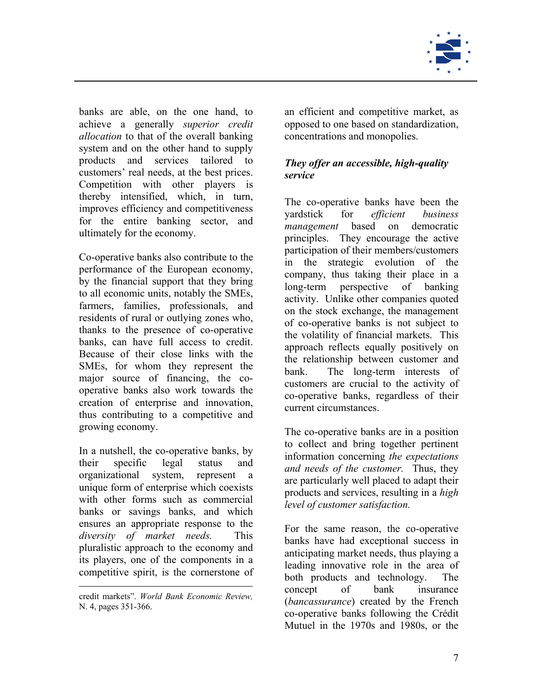

<span id="page-7-0"></span>banks are able, on the one hand, to achieve a generally *superior credit allocation* to that of the overall banking system and on the other hand to supply products and services tailored to customers' real needs, at the best prices. Competition with other players is thereby intensified, which, in turn, improves efficiency and competitiveness for the entire banking sector, and ultimately for the economy.

Co-operative banks also contribute to the performance of the European economy, by the financial support that they bring to all economic units, notably the SMEs, farmers, families, professionals, and residents of rural or outlying zones who, thanks to the presence of co-operative banks, can have full access to credit. Because of their close links with the SMEs, for whom they represent the major source of financing, the cooperative banks also work towards the creation of enterprise and innovation, thus contributing to a competitive and growing economy.

In a nutshell, the co-operative banks, by their specific legal status and organizational system, represent a unique form of enterprise which coexists with other forms such as commercial banks or savings banks, and which ensures an appropriate response to the *diversity of market needs.* This pluralistic approach to the economy and its players, one of the components in a competitive spirit, is the cornerstone of

 $\overline{a}$ 

an efficient and competitive market, as opposed to one based on standardization, concentrations and monopolies.

#### *They offer an accessible, high-quality service*

The co-operative banks have been the yardstick for *efficient business management* based on democratic principles. They encourage the active participation of their members/customers in the strategic evolution of the company, thus taking their place in a long-term perspective of banking activity. Unlike other companies quoted on the stock exchange, the management of co-operative banks is not subject to the volatility of financial markets. This approach reflects equally positively on the relationship between customer and bank. The long-term interests of customers are crucial to the activity of co-operative banks, regardless of their current circumstances.

The co-operative banks are in a position to collect and bring together pertinent information concerning *the expectations and needs of the customer.* Thus, they are particularly well placed to adapt their products and services, resulting in a *high level of customer satisfaction.*

For the same reason, the co-operative banks have had exceptional success in anticipating market needs, thus playing a leading innovative role in the area of both products and technology. The concept of bank insurance (*bancassurance*) created by the French co-operative banks following the Crédit Mutuel in the 1970s and 1980s, or the

credit markets". *World Bank Economic Review,*  N. 4, pages 351-366.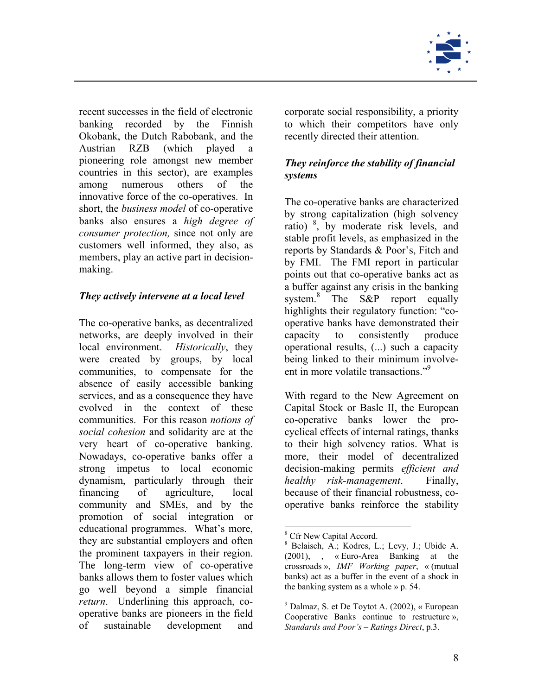

<span id="page-8-0"></span>recent successes in the field of electronic banking recorded by the Finnish Okobank, the Dutch Rabobank, and the Austrian RZB (which played a pioneering role amongst new member countries in this sector), are examples among numerous others of the innovative force of the co-operatives. In short, the *business model* of co-operative banks also ensures a *high degree of consumer protection,* since not only are customers well informed, they also, as members, play an active part in decisionmaking.

#### *They actively intervene at a local level*

The co-operative banks, as decentralized networks, are deeply involved in their local environment. *Historically*, they were created by groups, by local communities, to compensate for the absence of easily accessible banking services, and as a consequence they have evolved in the context of these communities. For this reason *notions of social cohesion* and solidarity are at the very heart of co-operative banking. Nowadays, co-operative banks offer a strong impetus to local economic dynamism, particularly through their financing of agriculture, local community and SMEs, and by the promotion of social integration or educational programmes. What's more, they are substantial employers and often the prominent taxpayers in their region. The long-term view of co-operative banks allows them to foster values which go well beyond a simple financial *return*. Underlining this approach, cooperative banks are pioneers in the field of sustainable development and

corporate social responsibility, a priority to which their competitors have only recently directed their attention.

#### *They reinforce the stability of financial systems*

The co-operative banks are characterized by strong capitalization (high solvency ratio) [8](#page-8-1) , by moderate risk levels, and stable profit levels, as emphasized in the reports by Standards & Poor's, Fitch and by FMI. The FMI report in particular points out that co-operative banks act as a buffer against any crisis in the banking system.<sup>[8](#page-8-2)</sup> The S&P report equally highlights their regulatory function: "cooperative banks have demonstrated their capacity to consistently produce operational results, (...) such a capacity being linked to their minimum involveent in more volatile transactions."<sup>9</sup>

With regard to the New Agreement on Capital Stock or Basle II, the European co-operative banks lower the procyclical effects of internal ratings, thanks to their high solvency ratios. What is more, their model of decentralized decision-making permits *efficient and healthy risk-management*. Finally, because of their financial robustness, cooperative banks reinforce the stability

<span id="page-8-1"></span><sup>&</sup>lt;sup>8</sup> Cfr New Capital Accord.

<span id="page-8-2"></span>Belaisch, A.; Kodres, L.; Levy, J.; Ubide A. (2001), , « Euro-Area Banking at the crossroads », *IMF Working paper*, « (mutual banks) act as a buffer in the event of a shock in the banking system as a whole » p. 54.

<span id="page-8-3"></span><sup>9</sup> Dalmaz, S. et De Toytot A. (2002), « European Cooperative Banks continue to restructure », *Standards and Poor's – Ratings Direct*, p.3.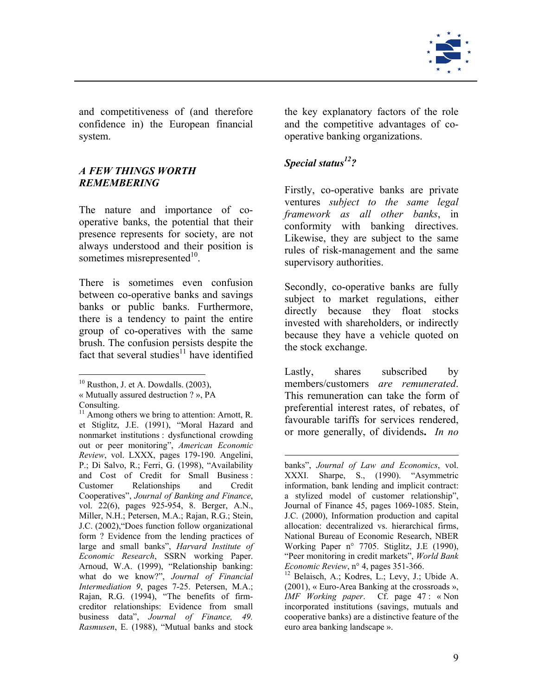

<span id="page-9-0"></span>and competitiveness of (and therefore confidence in) the European financial system.

#### *A FEW THINGS WORTH REMEMBERING*

The nature and importance of cooperative banks, the potential that their presence represents for society, are not always understood and their position is sometimes misrepresented<sup>10</sup>.

There is sometimes even confusion between co-operative banks and savings banks or public banks. Furthermore, there is a tendency to paint the entire group of co-operatives with the same brush. The confusion persists despite the fact that several studies<sup>11</sup> have identified

 $\overline{a}$ 

the key explanatory factors of the role and the competitive advantages of cooperative banking organizations.

### *Special status[12?](#page-9-3)*

 $\overline{a}$ 

Firstly, co-operative banks are private ventures *subject to the same legal framework as all other banks*, in conformity with banking directives. Likewise, they are subject to the same rules of risk-management and the same supervisory authorities.

Secondly, co-operative banks are fully subject to market regulations, either directly because they float stocks invested with shareholders, or indirectly because they have a vehicle quoted on the stock exchange.

Lastly, shares subscribed by members/customers *are remunerated*. This remuneration can take the form of preferential interest rates, of rebates, of favourable tariffs for services rendered, or more generally, of dividends**.** *In no* 

<span id="page-9-1"></span> $10$  Rusthon, J. et A. Dowdalls. (2003).

<sup>«</sup> Mutually assured destruction ? », PA

<span id="page-9-2"></span>

Consulting.<br><sup>11</sup> Among others we bring to attention: Arnott, R. et Stiglitz, J.E. (1991), "Moral Hazard and nonmarket institutions : dysfunctional crowding out or peer monitoring", *American Economic Review*, vol. LXXX, pages 179-190. Angelini, P.; Di Salvo, R.; Ferri, G. (1998), "Availability and Cost of Credit for Small Business : Customer Relationships and Credit Cooperatives", *Journal of Banking and Finance*, vol. 22(6), pages 925-954, 8. Berger, A.N., Miller, N.H.; Petersen, M.A.; Rajan, R.G.; Stein, J.C. (2002),"Does function follow organizational form ? Evidence from the lending practices of large and small banks", *Harvard Institute of Economic Research*, SSRN working Paper. Arnoud, W.A. (1999), "Relationship banking: what do we know?", *Journal of Financial Intermediation 9*, pages 7-25. Petersen, M.A.; Rajan, R.G. (1994), "The benefits of firmcreditor relationships: Evidence from small business data", *Journal of Finance, 49. Rasmusen*, E. (1988), "Mutual banks and stock

banks", *Journal of Law and Economics*, vol. XXXI. Sharpe, S., (1990). "Asymmetric information, bank lending and implicit contract: a stylized model of customer relationship", Journal of Finance 45, pages 1069-1085. Stein, J.C. (2000), Information production and capital allocation: decentralized vs. hierarchical firms, National Bureau of Economic Research, NBER Working Paper n° 7705. Stiglitz, J.E (1990), "Peer monitoring in credit markets", *World Bank Economic Review*, n° 4, pages 351-366.

<span id="page-9-3"></span><sup>12</sup> Belaisch, A.; Kodres, L.; Levy, J.; Ubide A. (2001), « Euro-Area Banking at the crossroads », *IMF Working paper*. Cf. page 47 : « Non incorporated institutions (savings, mutuals and cooperative banks) are a distinctive feature of the euro area banking landscape ».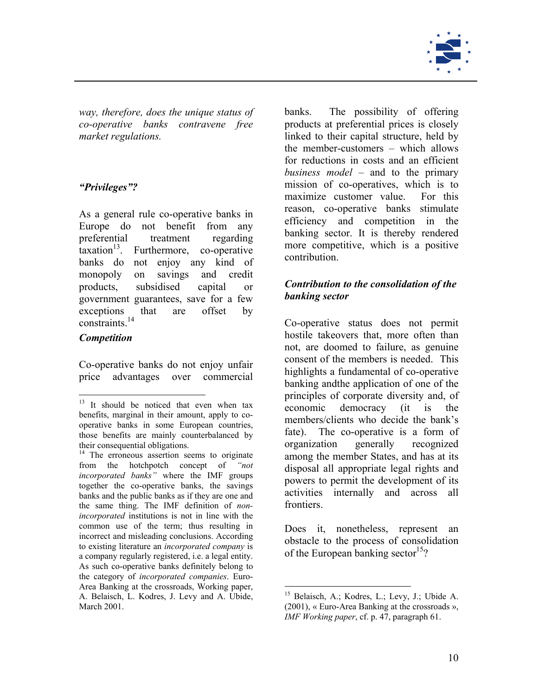

<span id="page-10-0"></span>*way, therefore, does the unique status of co-operative banks contravene free market regulations.* 

#### *"Privileges"?*

As a general rule co-operative banks in Europe do not benefit from any preferential treatment regarding  $\arctan^{13}$ . Furthermore, co-operative banks do not enjoy any kind of monopoly on savings and credit products, subsidised capital or government guarantees, save for a few exceptions that are offset by constraints[.14](#page-10-2) 

#### *Competition*

 $\overline{a}$ 

Co-operative banks do not enjoy unfair price advantages over commercial banks. The possibility of offering products at preferential prices is closely linked to their capital structure, held by the member-customers – which allows for reductions in costs and an efficient *business model* – and to the primary mission of co-operatives, which is to maximize customer value. For this reason, co-operative banks stimulate efficiency and competition in the banking sector. It is thereby rendered more competitive, which is a positive contribution.

#### *Contribution to the consolidation of the banking sector*

Co-operative status does not permit hostile takeovers that, more often than not, are doomed to failure, as genuine consent of the members is needed. This highlights a fundamental of co-operative banking andthe application of one of the principles of corporate diversity and, of economic democracy (it is the members/clients who decide the bank's fate). The co-operative is a form of organization generally recognized among the member States, and has at its disposal all appropriate legal rights and powers to permit the development of its activities internally and across all frontiers.

Does it, nonetheless, represent an obstacle to the process of consolidation of the European banking sector<sup>15</sup>?

<span id="page-10-1"></span><sup>&</sup>lt;sup>13</sup> It should be noticed that even when tax benefits, marginal in their amount, apply to cooperative banks in some European countries, those benefits are mainly counterbalanced by their consequential obligations. 14 The erroneous assertion seems to originate

<span id="page-10-2"></span>from the hotchpotch concept of *"not incorporated banks"* where the IMF groups together the co-operative banks, the savings banks and the public banks as if they are one and the same thing. The IMF definition of *nonincorporated* institutions is not in line with the common use of the term; thus resulting in incorrect and misleading conclusions. According to existing literature an *incorporated company* is a company regularly registered, i.e. a legal entity. As such co-operative banks definitely belong to the category of *incorporated companies*. Euro-Area Banking at the crossroads, Working paper, A. Belaisch, L. Kodres, J. Levy and A. Ubide, March 2001.

<span id="page-10-3"></span><sup>15</sup> Belaisch, A.; Kodres, L.; Levy, J.; Ubide A. (2001), « Euro-Area Banking at the crossroads », *IMF Working paper*, cf. p. 47, paragraph 61.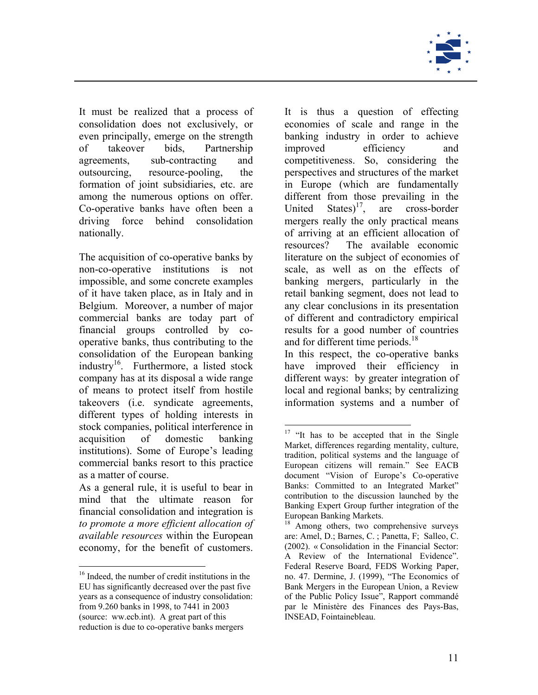

It must be realized that a process of consolidation does not exclusively, or even principally, emerge on the strength of takeover bids, Partnership agreements, sub-contracting and outsourcing, resource-pooling, the formation of joint subsidiaries, etc. are among the numerous options on offer. Co-operative banks have often been a driving force behind consolidation nationally.

The acquisition of co-operative banks by non-co-operative institutions is not impossible, and some concrete examples of it have taken place, as in Italy and in Belgium. Moreover, a number of major commercial banks are today part of financial groups controlled by cooperative banks, thus contributing to the consolidation of the European banking industr[y16.](#page-11-0) Furthermore, a listed stock company has at its disposal a wide range of means to protect itself from hostile takeovers (i.e. syndicate agreements, different types of holding interests in stock companies, political interference in acquisition of domestic banking institutions). Some of Europe's leading commercial banks resort to this practice as a matter of course.

As a general rule, it is useful to bear in mind that the ultimate reason for financial consolidation and integration is *to promote a more efficient allocation of available resources* within the European economy, for the benefit of customers.

 $\overline{a}$ 

It is thus a question of effecting economies of scale and range in the banking industry in order to achieve improved efficiency and competitiveness. So, considering the perspectives and structures of the market in Europe (which are fundamentally different from those prevailing in the United States) $17$ , are cross-border mergers really the only practical means of arriving at an efficient allocation of resources? The available economic literature on the subject of economies of scale, as well as on the effects of banking mergers, particularly in the retail banking segment, does not lead to any clear conclusions in its presentation of different and contradictory empirical results for a good number of countries and for different time periods.<sup>18</sup>

In this respect, the co-operative banks have improved their efficiency in different ways: by greater integration of local and regional banks; by centralizing information systems and a number of

<span id="page-11-0"></span><sup>16</sup> Indeed, the number of credit institutions in the EU has significantly decreased over the past five years as a consequence of industry consolidation: from 9.260 banks in 1998, to 7441 in 2003 (source: ww.ecb.int). A great part of this reduction is due to co-operative banks mergers

<span id="page-11-1"></span> $17$  "It has to be accepted that in the Single Market, differences regarding mentality, culture, tradition, political systems and the language of European citizens will remain." See EACB document "Vision of Europe's Co-operative Banks: Committed to an Integrated Market" contribution to the discussion launched by the Banking Expert Group further integration of the European Banking Markets.

<span id="page-11-2"></span><sup>&</sup>lt;sup>18</sup> Among others, two comprehensive surveys are: Amel, D.; Barnes, C. ; Panetta, F; Salleo, C. (2002). « Consolidation in the Financial Sector: A Review of the International Evidence". Federal Reserve Board, FEDS Working Paper, no. 47. Dermine, J. (1999), "The Economics of Bank Mergers in the European Union, a Review of the Public Policy Issue", Rapport commandé par le Ministère des Finances des Pays-Bas, INSEAD, Fointainebleau.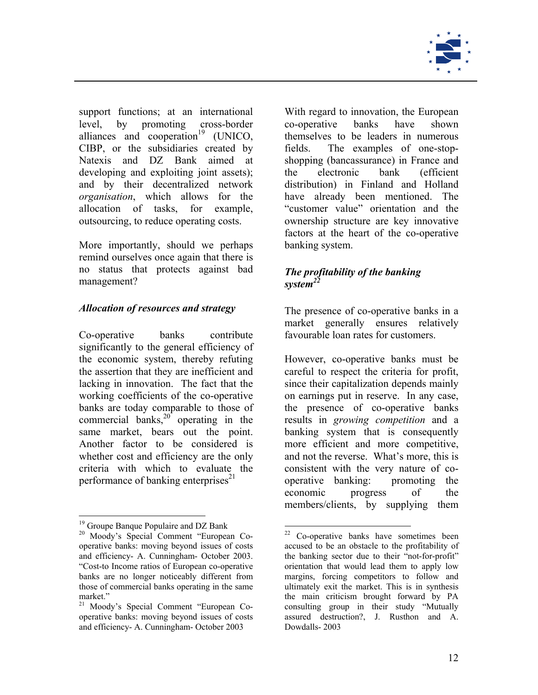

<span id="page-12-0"></span>support functions; at an international level, by promoting cross-border alliances and cooperation $19$  (UNICO, CIBP, or the subsidiaries created by Natexis and DZ Bank aimed at developing and exploiting joint assets); and by their decentralized network *organisation*, which allows for the allocation of tasks, for example, outsourcing, to reduce operating costs.

More importantly, should we perhaps remind ourselves once again that there is no status that protects against bad no status that protects against bad **The profitability of the banking** management?

Co-operative banks contribute favourable loan rates for customers. significantly to the general efficiency of the economic system, thereby refuting the assertion that they are inefficient and lacking in innovation. The fact that the working coefficients of the co-operative banks are today comparable to those of commercial banks, $20^{\circ}$  operating in the same market, bears out the point. Another factor to be considered is whether cost and efficiency are the only criteria with which to evaluate the performance of banking enterprises<sup>21</sup>

 $\overline{a}$ 

With regard to innovation, the European co-operative banks have shown themselves to be leaders in numerous fields. The examples of one-stopshopping (bancassurance) in France and the electronic bank (efficient distribution) in Finland and Holland have already been mentioned. The "customer value" orientation and the ownership structure are key innovative factors at the heart of the co-operative banking system.

# *system[22](#page-12-4)*

*Allocation of resources and strategy* The presence of co-operative banks in a market generally ensures relatively

> However, co-operative banks must be careful to respect the criteria for profit, since their capitalization depends mainly on earnings put in reserve. In any case, the presence of co-operative banks results in *growing competition* and a banking system that is consequently more efficient and more competitive, and not the reverse. What's more, this is consistent with the very nature of cooperative banking: promoting the economic progress of the members/clients, by supplying them

<span id="page-12-2"></span><span id="page-12-1"></span>

<sup>&</sup>lt;sup>19</sup> Groupe Banque Populaire and DZ Bank<br><sup>20</sup> Moody's Special Comment "European Cooperative banks: moving beyond issues of costs and efficiency- A. Cunningham- October 2003. "Cost-to Income ratios of European co-operative banks are no longer noticeably different from those of commercial banks operating in the same market."

<span id="page-12-3"></span><sup>21</sup> Moody's Special Comment "European Cooperative banks: moving beyond issues of costs and efficiency- A. Cunningham- October 2003

<span id="page-12-4"></span><sup>&</sup>lt;sup>22</sup> Co-operative banks have sometimes been accused to be an obstacle to the profitability of the banking sector due to their "not-for-profit" orientation that would lead them to apply low margins, forcing competitors to follow and ultimately exit the market. This is in synthesis the main criticism brought forward by PA consulting group in their study "Mutually assured destruction?, J. Rusthon and A. Dowdalls- 2003